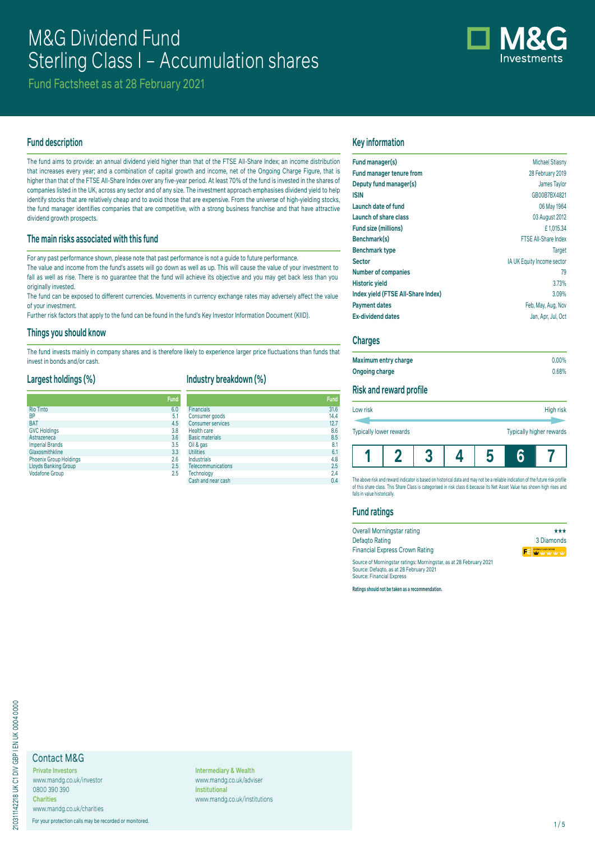# M&G Dividend Fund Sterling Class I – Accumulation shares



Fund Factsheet as at 28 February 2021

# **Fund description**

The fund aims to provide: an annual dividend yield higher than that of the FTSE All-Share Index; an income distribution that increases every year; and a combination of capital growth and income, net of the Ongoing Charge Figure, that is higher than that of the FTSE All-Share Index over any five-year period. At least 70% of the fund is invested in the shares of companies listed in the UK, across any sector and of any size. The investment approach emphasises dividend yield to help identify stocks that are relatively cheap and to avoid those that are expensive. From the universe of high-yielding stocks, the fund manager identifies companies that are competitive, with a strong business franchise and that have attractive dividend growth prospects.

# **The main risks associated with this fund**

For any past performance shown, please note that past performance is not a guide to future performance.

The value and income from the fund's assets will go down as well as up. This will cause the value of your investment to fall as well as rise. There is no guarantee that the fund will achieve its objective and you may get back less than you originally invested.

The fund can be exposed to different currencies. Movements in currency exchange rates may adversely affect the value of your investment.

Further risk factors that apply to the fund can be found in the fund's Key Investor Information Document (KIID).

#### **Things you should know**

The fund invests mainly in company shares and is therefore likely to experience larger price fluctuations than funds that invest in bonds and/or cash.

# **Largest holdings (%)**

# **Industry breakdown (%)**

|                               | <b>Fund</b> |
|-------------------------------|-------------|
| <b>Rio Tinto</b>              | 6.0         |
| BP                            | 5.1         |
| <b>BAT</b>                    | 4.5         |
| <b>GVC Holdings</b>           | 3.8         |
| Astrazeneca                   | 3.6         |
| <b>Imperial Brands</b>        | 3.5         |
| Glaxosmithkline               | 3.3         |
| <b>Phoenix Group Holdings</b> | 2.6         |
| <b>Lloyds Banking Group</b>   | 2.5         |
| <b>Vodafone Group</b>         | 2.5         |

| <b>Fund</b> |                          | Fund |
|-------------|--------------------------|------|
| 6.0         | <b>Financials</b>        | 31.6 |
| 5.1         | Consumer goods           | 14.4 |
| 4.5         | <b>Consumer services</b> | 12.7 |
| 3.8         | Health care              | 8.6  |
| 3.6         | <b>Basic materials</b>   | 8.5  |
| 3.5         | Oil & gas                | 8.1  |
| 3.3         | <b>Utilities</b>         | 6.1  |
| 2.6         | <b>Industrials</b>       | 4.8  |
| 2.5         | Telecommunications       | 2.5  |
| 2.5         | Technology               | 2.4  |
|             | Cash and near cash       | 0.4  |

# **Key information**

| Fund manager(s)                    | <b>Michael Stiasny</b>      |
|------------------------------------|-----------------------------|
| <b>Fund manager tenure from</b>    | 28 February 2019            |
| Deputy fund manager(s)             | James Taylor                |
| <b>ISIN</b>                        | GB00B7BX4821                |
| Launch date of fund                | 06 May 1964                 |
| Launch of share class              | 03 August 2012              |
| Fund size (millions)               | £1.015.34                   |
| Benchmark(s)                       | <b>FTSE All-Share Index</b> |
| <b>Benchmark type</b>              | <b>Target</b>               |
| <b>Sector</b>                      | IA UK Equity Income sector  |
| <b>Number of companies</b>         | 79                          |
| <b>Historic yield</b>              | 3.73%                       |
| Index yield (FTSE All-Share Index) | 3.09%                       |
| <b>Payment dates</b>               | Feb, May, Aug, Nov          |
| <b>Ex-dividend dates</b>           | Jan, Apr, Jul, Oct          |

#### **Charges**

| Maximum entry charge | $0.00\%$ |
|----------------------|----------|
| Ongoing charge       | 0.68%    |

# **Risk and reward profile**

| Low risk                |  |   | High risk                |
|-------------------------|--|---|--------------------------|
| Typically lower rewards |  |   | Typically higher rewards |
|                         |  | n |                          |

The above risk and reward indicator is based on nistorical data and may not be a reliable indication of the future risk profile<br>of this share class. This Share Class is categorised in risk class 6 because its Net Asset Val falls in value historically.

# **Fund ratings**

| Overall Morningstar rating                                         | ***                     |
|--------------------------------------------------------------------|-------------------------|
| Defagto Rating                                                     | 3 Diamonds              |
| <b>Financial Express Crown Rating</b>                              | <b>FE</b> WY WILLY WILL |
| Source of Morningstar ratings: Morningstar, as at 28 February 2021 |                         |
| Source: Defagto, as at 28 February 2021                            |                         |
| <b>Source: Financial Express</b>                                   |                         |

**Ratings should not be taken as a recommendation.**

# Contact M&G

**Private Investors** www.mandg.co.uk/investor 0800 390 390 **Charities**

www.mandg.co.uk/charities

For your protection calls may be recorded or monitored. 1/5

**Intermediary & Wealth** www.mandg.co.uk/adviser **Institutional** www.mandg.co.uk/institutions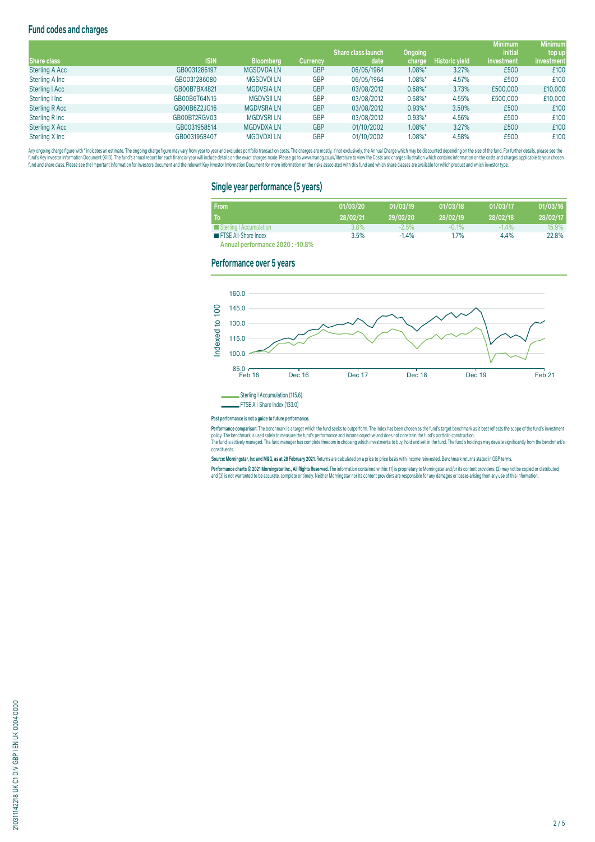# **Fund codes and charges**

|                       |              |                   |                 |                     |            |                | <b>Minimum</b> | <b>Minimum</b> |
|-----------------------|--------------|-------------------|-----------------|---------------------|------------|----------------|----------------|----------------|
|                       |              |                   |                 | 'Share class launch | Ongoing    |                | <i>initial</i> | top up         |
| <b>Share class</b>    | <b>ISIN</b>  | <b>Bloomberg</b>  | <b>Currency</b> | date                | charge     | Historic yield | investment     | investment     |
| <b>Sterling A Acc</b> | GB0031286197 | <b>MGSDVDALN</b>  | <b>GBP</b>      | 06/05/1964          | 1.08%*     | 3.27%          | £500           | £100           |
| Sterling A Inc        | GB0031286080 | <b>MGSDVDILN</b>  | <b>GBP</b>      | 06/05/1964          | 1.08%*     | 4.57%          | £500           | £100           |
| Sterling   Acc        | GB00B7BX4821 | <b>MGDVSIA LN</b> | <b>GBP</b>      | 03/08/2012          | $0.68\%$ * | 3.73%          | £500,000       | £10,000        |
| Sterling I Inc        | GB00B6T64N15 | <b>MGDVSII LN</b> | <b>GBP</b>      | 03/08/2012          | $0.68\%$ * | 4.55%          | £500,000       | £10,000        |
| <b>Sterling R Acc</b> | GB00B6Z2JG16 | <b>MGDVSRALN</b>  | <b>GBP</b>      | 03/08/2012          | $0.93\%$ * | 3.50%          | £500           | £100           |
| Sterling R Inc        | GB00B72RGV03 | <b>MGDVSRILN</b>  | <b>GBP</b>      | 03/08/2012          | $0.93\%$ * | 4.56%          | £500           | £100           |
| Sterling X Acc        | GB0031958514 | <b>MGDVDXALN</b>  | <b>GBP</b>      | 01/10/2002          | 1.08%*     | 3.27%          | £500           | £100           |
| Sterling X Inc        | GB0031958407 | <b>MGDVDXILN</b>  | <b>GBP</b>      | 01/10/2002          | 1.08%*     | 4.58%          | £500           | £100           |

Any organism and the man and the manual manual manual manual manual manual manual manual manual manual manual manual manual manual manual manual manual manual manual manual manual manual manual manual manual manual manual fund and share class. Please see the important information for Investors document and the relevant Key Investor Information Document for more information on the risks associated with this fund and which share classes are a

## **Single year performance (5 years)**

| From                             | 01/03/20 | 01/03/19 | 01/03/18 | 01/03/17 | 01/03/16 |
|----------------------------------|----------|----------|----------|----------|----------|
| To                               | 28/02/21 | 29/02/20 | 28/02/19 | 28/02/18 | 28/02/17 |
| Sterling   Accumulation          | 3.8%     | $-2.5\%$ | $-0.1%$  | $-1.4\%$ | 15.9%    |
| <b>THE FTSE All-Share Index</b>  | 3.5%     | $-1.4%$  | 1.7%     | 4.4%     | 22.8%    |
| Annual performance 2020 : -10.8% |          |          |          |          |          |

## **Performance over 5 years**



#### **Past performance is not a guide to future performance.**

rerrormance comparison: The benchmark is a target which the thing season outperform. The index has been chosen as the bind starget benchmark as it best renects the scope of the time s investment<br>policy. The benchmark is us constituents.

**Source: Morningstar, Inc and M&G, as at 28 February 2021.** Returns are calculated on a price to price basis with income reinvested. Benchmark returns stated in GBP terms.

Performance charts © 2021 Morningstar Inc., All Rights Reserved. The information contained within: (1) is proprietary to Morningstar and/or its content providers; (2) may not be copied or distributed; and (3) is not warranted to be accurate, complete or timely. Neither Morningstar nor its content providers are responsible for any damages or losses arising from any use of this information.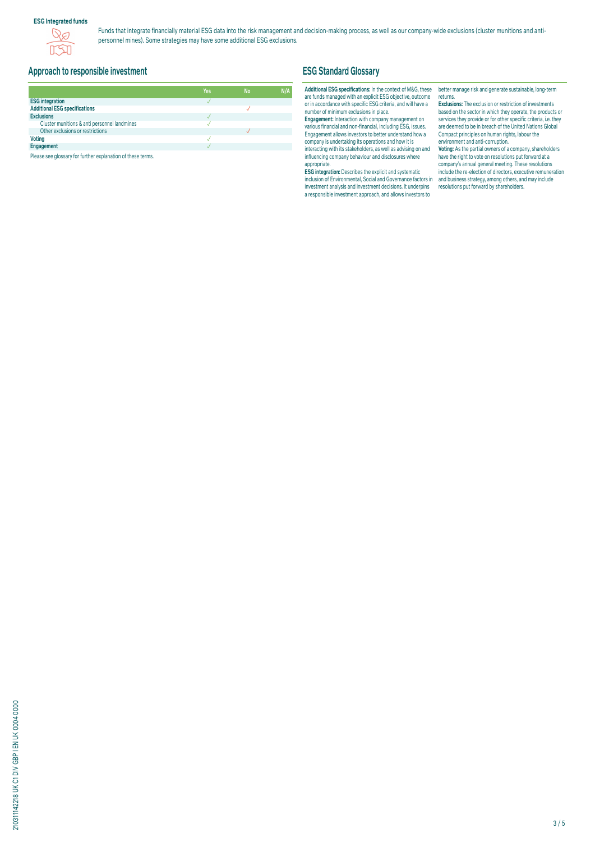### **ESG Integrated funds**



Funds that integrate financially material ESG data into the risk management and decision-making process, as well as our company-wide exclusions (cluster munitions and antipersonnel mines). Some strategies may have some additional ESG exclusions.

# **Approach to responsible investment**

|                                              | Yes | <b>No</b> | N/A |
|----------------------------------------------|-----|-----------|-----|
| <b>ESG integration</b>                       |     |           |     |
| <b>Additional ESG specifications</b>         |     |           |     |
| <b>Exclusions</b>                            |     |           |     |
| Cluster munitions & anti personnel landmines |     |           |     |
| Other exclusions or restrictions             |     |           |     |
| <b>Voting</b>                                |     |           |     |
| Engagement                                   |     |           |     |

Please see glossary for further explanation of these terms.

# **ESG Standard Glossary**

#### **Additional ESG specifications:** In the context of M&G, these are funds managed with an explicit ESG objective, outcome or in accordance with specific ESG criteria, and will have a number of minimum exclusions in place.

**Engagement:** Interaction with company management on various financial and non-financial, including ESG, issues. Engagement allows investors to better understand how a company is undertaking its operations and how it is interacting with its stakeholders, as well as advising on and influencing company behaviour and disclosures where appropriate.

**ESG integration:** Describes the explicit and systematic inclusion of Environmental, Social and Governance factors in investment analysis and investment decisions. It underpins a responsible investment approach, and allows investors to

better manage risk and generate sustainable, long-term returns.

**Exclusions:** The exclusion or restriction of investments based on the sector in which they operate, the products or services they provide or for other specific criteria, i.e. they are deemed to be in breach of the United Nations Global Compact principles on human rights, labour the environment and anti-corruption.

**Voting:** As the partial owners of a company, shareholders have the right to vote on resolutions put forward at a company's annual general meeting. These resolutions include the re-election of directors, executive remuneration and business strategy, among others, and may include resolutions put forward by shareholders.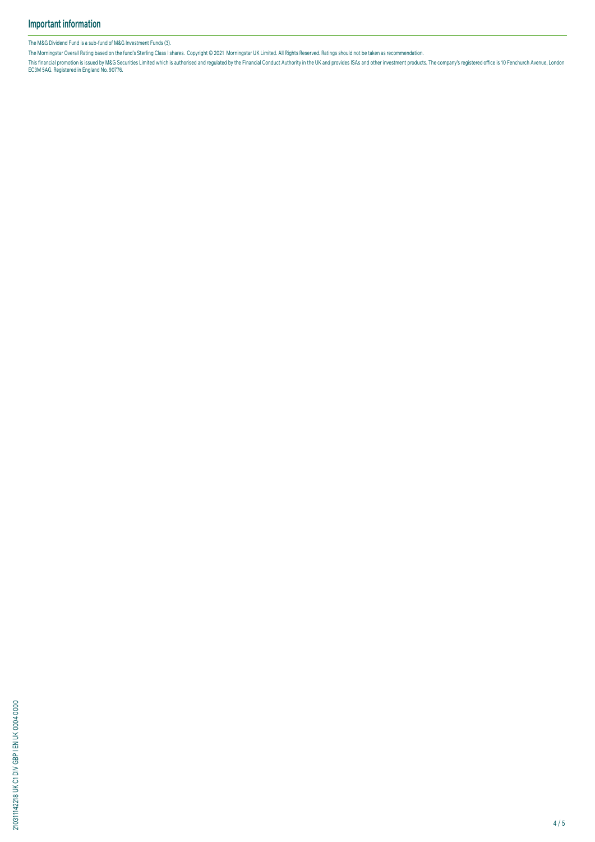The M&G Dividend Fund is a sub-fund of M&G Investment Funds (3).

The Morningstar Overall Rating based on the fund's Sterling Class I shares. Copyright © 2021 Morningstar UK Limited. All Rights Reserved. Ratings should not be taken as recommendation.

This financial promotion is issued by M&G Securities Limited which is authorised and regulated by the Financial Conduct Authority in the UK and provides ISAS and other investment products. The company's registered office i